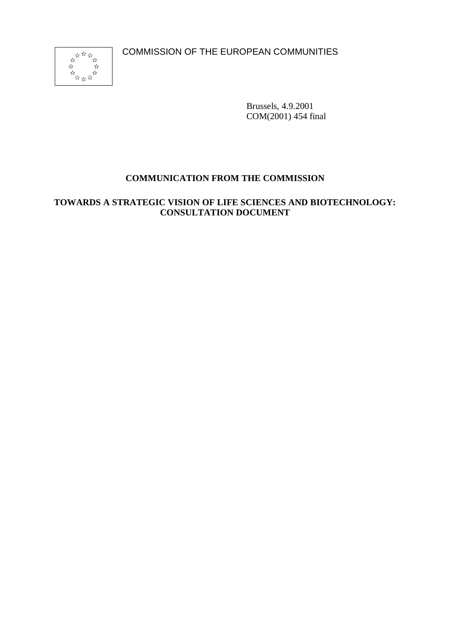COMMISSION OF THE EUROPEAN COMMUNITIES



Brussels, 4.9.2001 COM(2001) 454 final

# **COMMUNICATION FROM THE COMMISSION**

# **TOWARDS A STRATEGIC VISION OF LIFE SCIENCES AND BIOTECHNOLOGY: CONSULTATION DOCUMENT**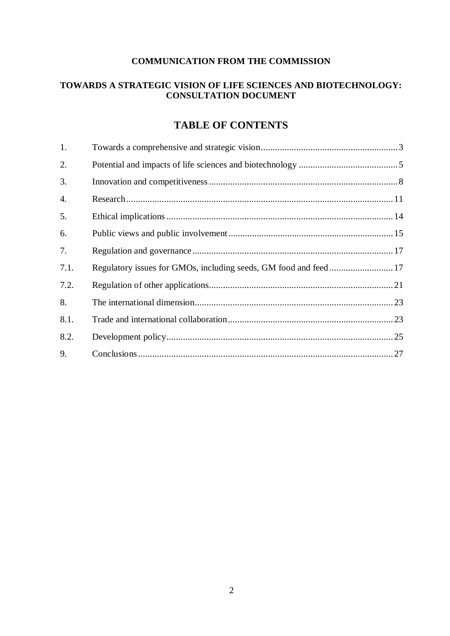### **COMMUNICATION FROM THE COMMISSION**

### **TOWARDS A STRATEGIC VISION OF LIFE SCIENCES AND BIOTECHNOLOGY: CONSULTATION DOCUMENT**

# **TABLE OF CONTENTS**

| 1.   |  |
|------|--|
| 2.   |  |
| 3.   |  |
| 4.   |  |
| 5.   |  |
| 6.   |  |
| 7.   |  |
| 7.1. |  |
| 7.2. |  |
| 8.   |  |
| 8.1. |  |
| 8.2. |  |
| 9.   |  |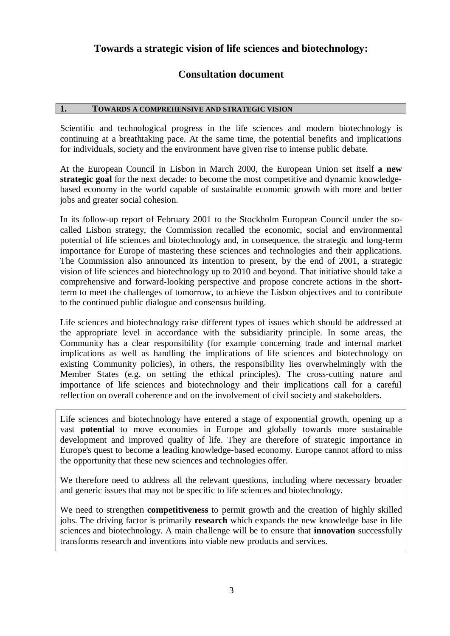# **Towards a strategic vision of life sciences and biotechnology:**

# **Consultation document**

#### **1. TOWARDS A COMPREHENSIVE AND STRATEGIC VISION**

Scientific and technological progress in the life sciences and modern biotechnology is continuing at a breathtaking pace. At the same time, the potential benefits and implications for individuals, society and the environment have given rise to intense public debate.

At the European Council in Lisbon in March 2000, the European Union set itself **a new strategic goal** for the next decade: to become the most competitive and dynamic knowledgebased economy in the world capable of sustainable economic growth with more and better jobs and greater social cohesion.

In its follow-up report of February 2001 to the Stockholm European Council under the socalled Lisbon strategy, the Commission recalled the economic, social and environmental potential of life sciences and biotechnology and, in consequence, the strategic and long-term importance for Europe of mastering these sciences and technologies and their applications. The Commission also announced its intention to present, by the end of 2001, a strategic vision of life sciences and biotechnology up to 2010 and beyond. That initiative should take a comprehensive and forward-looking perspective and propose concrete actions in the shortterm to meet the challenges of tomorrow, to achieve the Lisbon objectives and to contribute to the continued public dialogue and consensus building.

Life sciences and biotechnology raise different types of issues which should be addressed at the appropriate level in accordance with the subsidiarity principle. In some areas, the Community has a clear responsibility (for example concerning trade and internal market implications as well as handling the implications of life sciences and biotechnology on existing Community policies), in others, the responsibility lies overwhelmingly with the Member States (e.g. on setting the ethical principles). The cross-cutting nature and importance of life sciences and biotechnology and their implications call for a careful reflection on overall coherence and on the involvement of civil society and stakeholders.

Life sciences and biotechnology have entered a stage of exponential growth, opening up a vast **potential** to move economies in Europe and globally towards more sustainable development and improved quality of life. They are therefore of strategic importance in Europe's quest to become a leading knowledge-based economy. Europe cannot afford to miss the opportunity that these new sciences and technologies offer.

We therefore need to address all the relevant questions, including where necessary broader and generic issues that may not be specific to life sciences and biotechnology.

We need to strengthen **competitiveness** to permit growth and the creation of highly skilled jobs. The driving factor is primarily **research** which expands the new knowledge base in life sciences and biotechnology. A main challenge will be to ensure that **innovation** successfully transforms research and inventions into viable new products and services.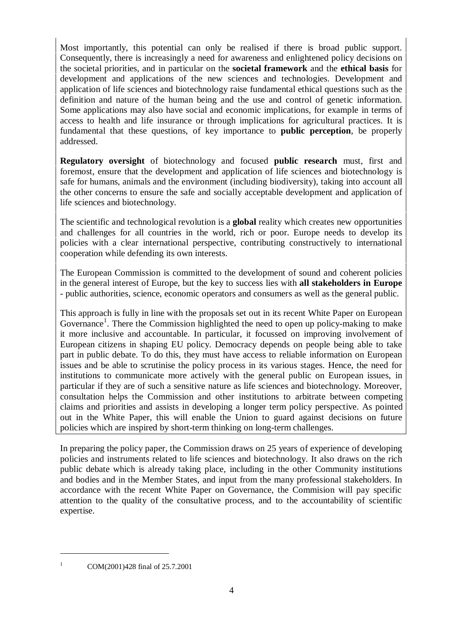Most importantly, this potential can only be realised if there is broad public support. Consequently, there is increasingly a need for awareness and enlightened policy decisions on the societal priorities, and in particular on the **societal framework** and the **ethical basis** for development and applications of the new sciences and technologies. Development and application of life sciences and biotechnology raise fundamental ethical questions such as the definition and nature of the human being and the use and control of genetic information. Some applications may also have social and economic implications, for example in terms of access to health and life insurance or through implications for agricultural practices. It is fundamental that these questions, of key importance to **public perception**, be properly addressed.

**Regulatory oversight** of biotechnology and focused **public research** must, first and foremost, ensure that the development and application of life sciences and biotechnology is safe for humans, animals and the environment (including biodiversity), taking into account all the other concerns to ensure the safe and socially acceptable development and application of life sciences and biotechnology.

The scientific and technological revolution is a **global** reality which creates new opportunities and challenges for all countries in the world, rich or poor. Europe needs to develop its policies with a clear international perspective, contributing constructively to international cooperation while defending its own interests.

The European Commission is committed to the development of sound and coherent policies in the general interest of Europe, but the key to success lies with **all stakeholders in Europe** - public authorities, science, economic operators and consumers as well as the general public.

This approach is fully in line with the proposals set out in its recent White Paper on European Governance<sup>1</sup>. There the Commission highlighted the need to open up policy-making to make it more inclusive and accountable. In particular, it focussed on improving involvement of European citizens in shaping EU policy. Democracy depends on people being able to take part in public debate. To do this, they must have access to reliable information on European issues and be able to scrutinise the policy process in its various stages. Hence, the need for institutions to communicate more actively with the general public on European issues, in particular if they are of such a sensitive nature as life sciences and biotechnology. Moreover, consultation helps the Commission and other institutions to arbitrate between competing claims and priorities and assists in developing a longer term policy perspective. As pointed out in the White Paper, this will enable the Union to guard against decisions on future policies which are inspired by short-term thinking on long-term challenges.

In preparing the policy paper, the Commission draws on 25 years of experience of developing policies and instruments related to life sciences and biotechnology. It also draws on the rich public debate which is already taking place, including in the other Community institutions and bodies and in the Member States, and input from the many professional stakeholders. In accordance with the recent White Paper on Governance, the Commision will pay specific attention to the quality of the consultative process, and to the accountability of scientific expertise.

<sup>&</sup>lt;sup>1</sup> COM(2001)428 final of 25.7.2001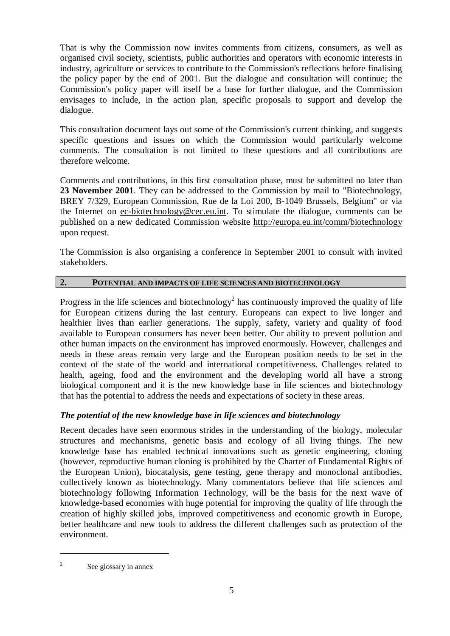That is why the Commission now invites comments from citizens, consumers, as well as organised civil society, scientists, public authorities and operators with economic interests in industry, agriculture or services to contribute to the Commission's reflections before finalising the policy paper by the end of 2001. But the dialogue and consultation will continue; the Commission's policy paper will itself be a base for further dialogue, and the Commission envisages to include, in the action plan, specific proposals to support and develop the dialogue.

This consultation document lays out some of the Commission's current thinking, and suggests specific questions and issues on which the Commission would particularly welcome comments. The consultation is not limited to these questions and all contributions are therefore welcome.

Comments and contributions, in this first consultation phase, must be submitted no later than **23 November 2001**. They can be addressed to the Commission by mail to "Biotechnology, BREY 7/329, European Commission, Rue de la Loi 200, B-1049 Brussels, Belgium" or via the Internet on ec-biotechnology@cec.eu.int. To stimulate the dialogue, comments can be published on a new dedicated Commission website http://europa.eu.int/comm/biotechnology upon request.

The Commission is also organising a conference in September 2001 to consult with invited stakeholders.

# **2. POTENTIAL AND IMPACTS OF LIFE SCIENCES AND BIOTECHNOLOGY**

Progress in the life sciences and biotechnology<sup>2</sup> has continuously improved the quality of life for European citizens during the last century. Europeans can expect to live longer and healthier lives than earlier generations. The supply, safety, variety and quality of food available to European consumers has never been better. Our ability to prevent pollution and other human impacts on the environment has improved enormously. However, challenges and needs in these areas remain very large and the European position needs to be set in the context of the state of the world and international competitiveness. Challenges related to health, ageing, food and the environment and the developing world all have a strong biological component and it is the new knowledge base in life sciences and biotechnology that has the potential to address the needs and expectations of society in these areas.

### *The potential of the new knowledge base in life sciences and biotechnology*

Recent decades have seen enormous strides in the understanding of the biology, molecular structures and mechanisms, genetic basis and ecology of all living things. The new knowledge base has enabled technical innovations such as genetic engineering, cloning (however, reproductive human cloning is prohibited by the Charter of Fundamental Rights of the European Union), biocatalysis, gene testing, gene therapy and monoclonal antibodies, collectively known as biotechnology. Many commentators believe that life sciences and biotechnology following Information Technology, will be the basis for the next wave of knowledge-based economies with huge potential for improving the quality of life through the creation of highly skilled jobs, improved competitiveness and economic growth in Europe, better healthcare and new tools to address the different challenges such as protection of the environment.

<sup>&</sup>lt;sup>2</sup> See glossary in annex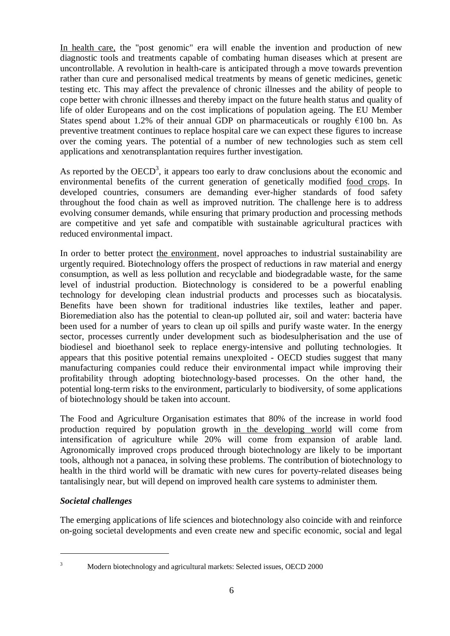In health care, the "post genomic" era will enable the invention and production of new diagnostic tools and treatments capable of combating human diseases which at present are uncontrollable. A revolution in health-care is anticipated through a move towards prevention rather than cure and personalised medical treatments by means of genetic medicines, genetic testing etc. This may affect the prevalence of chronic illnesses and the ability of people to cope better with chronic illnesses and thereby impact on the future health status and quality of life of older Europeans and on the cost implications of population ageing. The EU Member States spend about 1.2% of their annual GDP on pharmaceuticals or roughly  $\epsilon$ 100 bn. As preventive treatment continues to replace hospital care we can expect these figures to increase over the coming years. The potential of a number of new technologies such as stem cell applications and xenotransplantation requires further investigation.

As reported by the  $OECD<sup>3</sup>$ , it appears too early to draw conclusions about the economic and environmental benefits of the current generation of genetically modified food crops. In developed countries, consumers are demanding ever-higher standards of food safety throughout the food chain as well as improved nutrition. The challenge here is to address evolving consumer demands, while ensuring that primary production and processing methods are competitive and yet safe and compatible with sustainable agricultural practices with reduced environmental impact.

In order to better protect the environment, novel approaches to industrial sustainability are urgently required. Biotechnology offers the prospect of reductions in raw material and energy consumption, as well as less pollution and recyclable and biodegradable waste, for the same level of industrial production. Biotechnology is considered to be a powerful enabling technology for developing clean industrial products and processes such as biocatalysis. Benefits have been shown for traditional industries like textiles, leather and paper. Bioremediation also has the potential to clean-up polluted air, soil and water: bacteria have been used for a number of years to clean up oil spills and purify waste water. In the energy sector, processes currently under development such as biodesulpherisation and the use of biodiesel and bioethanol seek to replace energy-intensive and polluting technologies. It appears that this positive potential remains unexploited - OECD studies suggest that many manufacturing companies could reduce their environmental impact while improving their profitability through adopting biotechnology-based processes. On the other hand, the potential long-term risks to the environment, particularly to biodiversity, of some applications of biotechnology should be taken into account.

The Food and Agriculture Organisation estimates that 80% of the increase in world food production required by population growth in the developing world will come from intensification of agriculture while 20% will come from expansion of arable land. Agronomically improved crops produced through biotechnology are likely to be important tools, although not a panacea, in solving these problems. The contribution of biotechnology to health in the third world will be dramatic with new cures for poverty-related diseases being tantalisingly near, but will depend on improved health care systems to administer them.

### *Societal challenges*

The emerging applications of life sciences and biotechnology also coincide with and reinforce on-going societal developments and even create new and specific economic, social and legal

<sup>&</sup>lt;sup>3</sup> Modern biotechnology and agricultural markets: Selected issues, OECD 2000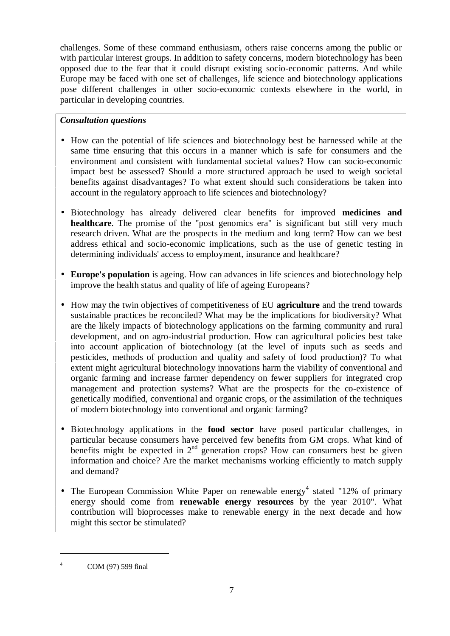challenges. Some of these command enthusiasm, others raise concerns among the public or with particular interest groups. In addition to safety concerns, modern biotechnology has been opposed due to the fear that it could disrupt existing socio-economic patterns. And while Europe may be faced with one set of challenges, life science and biotechnology applications pose different challenges in other socio-economic contexts elsewhere in the world, in particular in developing countries.

### *Consultation questions*

- How can the potential of life sciences and biotechnology best be harnessed while at the same time ensuring that this occurs in a manner which is safe for consumers and the environment and consistent with fundamental societal values? How can socio-economic impact best be assessed? Should a more structured approach be used to weigh societal benefits against disadvantages? To what extent should such considerations be taken into account in the regulatory approach to life sciences and biotechnology?
- Biotechnology has already delivered clear benefits for improved **medicines and healthcare**. The promise of the "post genomics era" is significant but still very much research driven. What are the prospects in the medium and long term? How can we best address ethical and socio-economic implications, such as the use of genetic testing in determining individuals' access to employment, insurance and healthcare?
- **Europe's population** is ageing. How can advances in life sciences and biotechnology help improve the health status and quality of life of ageing Europeans?
- How may the twin objectives of competitiveness of EU **agriculture** and the trend towards sustainable practices be reconciled? What may be the implications for biodiversity? What are the likely impacts of biotechnology applications on the farming community and rural development, and on agro-industrial production. How can agricultural policies best take into account application of biotechnology (at the level of inputs such as seeds and pesticides, methods of production and quality and safety of food production)? To what extent might agricultural biotechnology innovations harm the viability of conventional and organic farming and increase farmer dependency on fewer suppliers for integrated crop management and protection systems? What are the prospects for the co-existence of genetically modified, conventional and organic crops, or the assimilation of the techniques of modern biotechnology into conventional and organic farming?
- Biotechnology applications in the **food sector** have posed particular challenges, in particular because consumers have perceived few benefits from GM crops. What kind of benefits might be expected in  $2<sup>nd</sup>$  generation crops? How can consumers best be given information and choice? Are the market mechanisms working efficiently to match supply and demand?
- The European Commission White Paper on renewable energy<sup>4</sup> stated "12% of primary energy should come from **renewable energy resources** by the year 2010". What contribution will bioprocesses make to renewable energy in the next decade and how might this sector be stimulated?

<sup>4</sup> COM (97) 599 final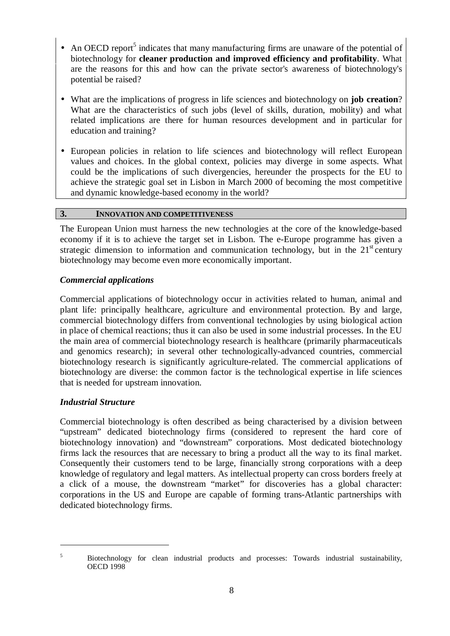- An OECD report<sup>5</sup> indicates that many manufacturing firms are unaware of the potential of biotechnology for **cleaner production and improved efficiency and profitability**. What are the reasons for this and how can the private sector's awareness of biotechnology's potential be raised?
- What are the implications of progress in life sciences and biotechnology on **job creation**? What are the characteristics of such jobs (level of skills, duration, mobility) and what related implications are there for human resources development and in particular for education and training?
- European policies in relation to life sciences and biotechnology will reflect European values and choices. In the global context, policies may diverge in some aspects. What could be the implications of such divergencies, hereunder the prospects for the EU to achieve the strategic goal set in Lisbon in March 2000 of becoming the most competitive and dynamic knowledge-based economy in the world?

#### **3. INNOVATION AND COMPETITIVENESS**

The European Union must harness the new technologies at the core of the knowledge-based economy if it is to achieve the target set in Lisbon. The e-Europe programme has given a strategic dimension to information and communication technology, but in the  $21<sup>st</sup>$  century biotechnology may become even more economically important.

#### *Commercial applications*

Commercial applications of biotechnology occur in activities related to human, animal and plant life: principally healthcare, agriculture and environmental protection. By and large, commercial biotechnology differs from conventional technologies by using biological action in place of chemical reactions; thus it can also be used in some industrial processes. In the EU the main area of commercial biotechnology research is healthcare (primarily pharmaceuticals and genomics research); in several other technologically-advanced countries, commercial biotechnology research is significantly agriculture-related. The commercial applications of biotechnology are diverse: the common factor is the technological expertise in life sciences that is needed for upstream innovation.

### *Industrial Structure*

Commercial biotechnology is often described as being characterised by a division between "upstream" dedicated biotechnology firms (considered to represent the hard core of biotechnology innovation) and "downstream" corporations. Most dedicated biotechnology firms lack the resources that are necessary to bring a product all the way to its final market. Consequently their customers tend to be large, financially strong corporations with a deep knowledge of regulatory and legal matters. As intellectual property can cross borders freely at a click of a mouse, the downstream "market" for discoveries has a global character: corporations in the US and Europe are capable of forming trans-Atlantic partnerships with dedicated biotechnology firms.

<sup>&</sup>lt;sup>5</sup> Biotechnology for clean industrial products and processes: Towards industrial sustainability, OECD 1998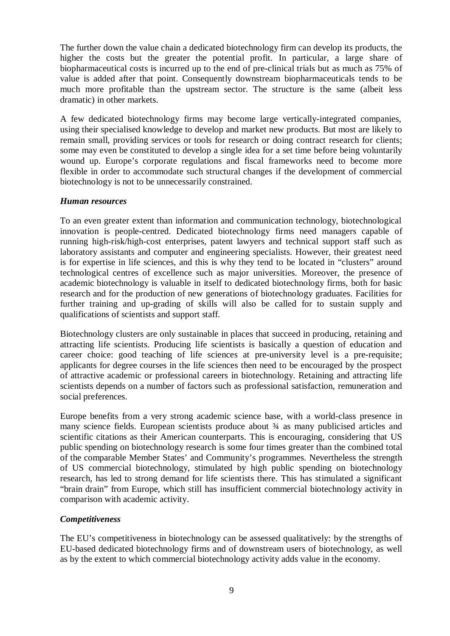The further down the value chain a dedicated biotechnology firm can develop its products, the higher the costs but the greater the potential profit. In particular, a large share of biopharmaceutical costs is incurred up to the end of pre-clinical trials but as much as 75% of value is added after that point. Consequently downstream biopharmaceuticals tends to be much more profitable than the upstream sector. The structure is the same (albeit less dramatic) in other markets.

A few dedicated biotechnology firms may become large vertically-integrated companies, using their specialised knowledge to develop and market new products. But most are likely to remain small, providing services or tools for research or doing contract research for clients; some may even be constituted to develop a single idea for a set time before being voluntarily wound up. Europe's corporate regulations and fiscal frameworks need to become more flexible in order to accommodate such structural changes if the development of commercial biotechnology is not to be unnecessarily constrained.

### *Human resources*

To an even greater extent than information and communication technology, biotechnological innovation is people-centred. Dedicated biotechnology firms need managers capable of running high-risk/high-cost enterprises, patent lawyers and technical support staff such as laboratory assistants and computer and engineering specialists. However, their greatest need is for expertise in life sciences, and this is why they tend to be located in "clusters" around technological centres of excellence such as major universities. Moreover, the presence of academic biotechnology is valuable in itself to dedicated biotechnology firms, both for basic research and for the production of new generations of biotechnology graduates. Facilities for further training and up-grading of skills will also be called for to sustain supply and qualifications of scientists and support staff.

Biotechnology clusters are only sustainable in places that succeed in producing, retaining and attracting life scientists. Producing life scientists is basically a question of education and career choice: good teaching of life sciences at pre-university level is a pre-requisite; applicants for degree courses in the life sciences then need to be encouraged by the prospect of attractive academic or professional careers in biotechnology. Retaining and attracting life scientists depends on a number of factors such as professional satisfaction, remuneration and social preferences.

Europe benefits from a very strong academic science base, with a world-class presence in many science fields. European scientists produce about  $\frac{3}{4}$  as many publicised articles and scientific citations as their American counterparts. This is encouraging, considering that US public spending on biotechnology research is some four times greater than the combined total of the comparable Member States' and Community's programmes. Nevertheless the strength of US commercial biotechnology, stimulated by high public spending on biotechnology research, has led to strong demand for life scientists there. This has stimulated a significant "brain drain" from Europe, which still has insufficient commercial biotechnology activity in comparison with academic activity.

#### *Competitiveness*

The EU's competitiveness in biotechnology can be assessed qualitatively: by the strengths of EU-based dedicated biotechnology firms and of downstream users of biotechnology, as well as by the extent to which commercial biotechnology activity adds value in the economy.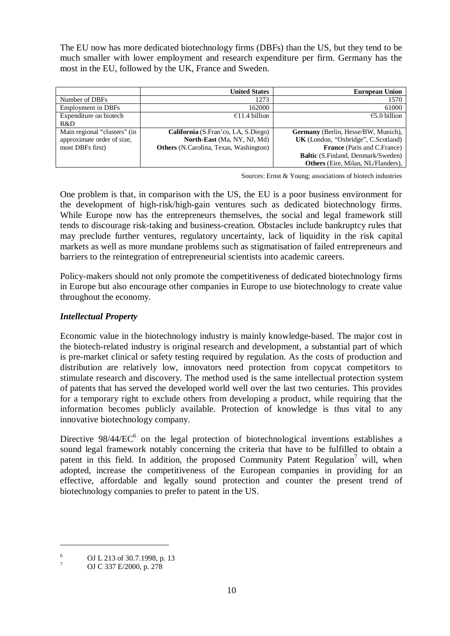The EU now has more dedicated biotechnology firms (DBFs) than the US, but they tend to be much smaller with lower employment and research expenditure per firm. Germany has the most in the EU, followed by the UK, France and Sweden.

|                              | <b>United States</b>                          | <b>European Union</b>                     |
|------------------------------|-----------------------------------------------|-------------------------------------------|
| Number of DBFs               | 1273                                          | 1570                                      |
| <b>Employment in DBFs</b>    | 162000                                        | 61000                                     |
| Expenditure on biotech       | €11.4 billion                                 | $€5.0$ billion                            |
| R&D                          |                                               |                                           |
| Main regional "clusters" (in | California (S.Fran'co, LA, S.Diego)           | Germany (Berlin, Hesse/BW, Munich),       |
| approximate order of size,   | North-East (Ma, NY, NJ, Md)                   | UK (London, "Oxbridge", C.Scotland)       |
| most DBFs first)             | <b>Others</b> (N.Carolina, Texas, Washington) | <b>France</b> (Paris and C.France)        |
|                              |                                               | <b>Baltic</b> (S.Finland, Denmark/Sweden) |
|                              |                                               | Others (Eire, Milan, NL/Flanders),        |

Sources: Ernst & Young; associations of biotech industries

One problem is that, in comparison with the US, the EU is a poor business environment for the development of high-risk/high-gain ventures such as dedicated biotechnology firms. While Europe now has the entrepreneurs themselves, the social and legal framework still tends to discourage risk-taking and business-creation. Obstacles include bankruptcy rules that may preclude further ventures, regulatory uncertainty, lack of liquidity in the risk capital markets as well as more mundane problems such as stigmatisation of failed entrepreneurs and barriers to the reintegration of entrepreneurial scientists into academic careers.

Policy-makers should not only promote the competitiveness of dedicated biotechnology firms in Europe but also encourage other companies in Europe to use biotechnology to create value throughout the economy.

## *Intellectual Property*

Economic value in the biotechnology industry is mainly knowledge-based. The major cost in the biotech-related industry is original research and development, a substantial part of which is pre-market clinical or safety testing required by regulation. As the costs of production and distribution are relatively low, innovators need protection from copycat competitors to stimulate research and discovery. The method used is the same intellectual protection system of patents that has served the developed world well over the last two centuries. This provides for a temporary right to exclude others from developing a product, while requiring that the information becomes publicly available. Protection of knowledge is thus vital to any innovative biotechnology company.

Directive  $98/44/EC^6$  on the legal protection of biotechnological inventions establishes a sound legal framework notably concerning the criteria that have to be fulfilled to obtain a patent in this field. In addition, the proposed Community Patent Regulation<sup>7</sup> will, when adopted, increase the competitiveness of the European companies in providing for an effective, affordable and legally sound protection and counter the present trend of biotechnology companies to prefer to patent in the US.

<sup>&</sup>lt;sup>6</sup> OJ L 213 of 30.7.1998, p. 13<br>
OJ C 337 E/2000, p. 278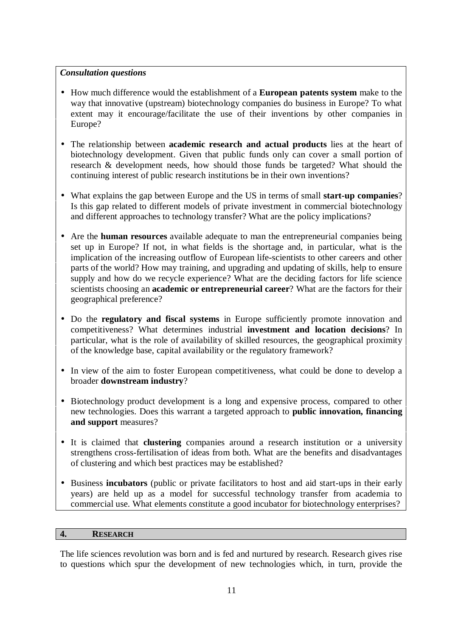### *Consultation questions*

- How much difference would the establishment of a **European patents system** make to the way that innovative (upstream) biotechnology companies do business in Europe? To what extent may it encourage/facilitate the use of their inventions by other companies in Europe?
- The relationship between **academic research and actual products** lies at the heart of biotechnology development. Given that public funds only can cover a small portion of research & development needs, how should those funds be targeted? What should the continuing interest of public research institutions be in their own inventions?
- What explains the gap between Europe and the US in terms of small **start-up companies**? Is this gap related to different models of private investment in commercial biotechnology and different approaches to technology transfer? What are the policy implications?
- Are the **human resources** available adequate to man the entrepreneurial companies being set up in Europe? If not, in what fields is the shortage and, in particular, what is the implication of the increasing outflow of European life-scientists to other careers and other parts of the world? How may training, and upgrading and updating of skills, help to ensure supply and how do we recycle experience? What are the deciding factors for life science scientists choosing an **academic or entrepreneurial career**? What are the factors for their geographical preference?
- Do the **regulatory and fiscal systems** in Europe sufficiently promote innovation and competitiveness? What determines industrial **investment and location decisions**? In particular, what is the role of availability of skilled resources, the geographical proximity of the knowledge base, capital availability or the regulatory framework?
- In view of the aim to foster European competitiveness, what could be done to develop a broader **downstream industry**?
- Biotechnology product development is a long and expensive process, compared to other new technologies. Does this warrant a targeted approach to **public innovation, financing and support** measures?
- It is claimed that **clustering** companies around a research institution or a university strengthens cross-fertilisation of ideas from both. What are the benefits and disadvantages of clustering and which best practices may be established?
- Business **incubators** (public or private facilitators to host and aid start-ups in their early years) are held up as a model for successful technology transfer from academia to commercial use. What elements constitute a good incubator for biotechnology enterprises?

#### **4. RESEARCH**

The life sciences revolution was born and is fed and nurtured by research. Research gives rise to questions which spur the development of new technologies which, in turn, provide the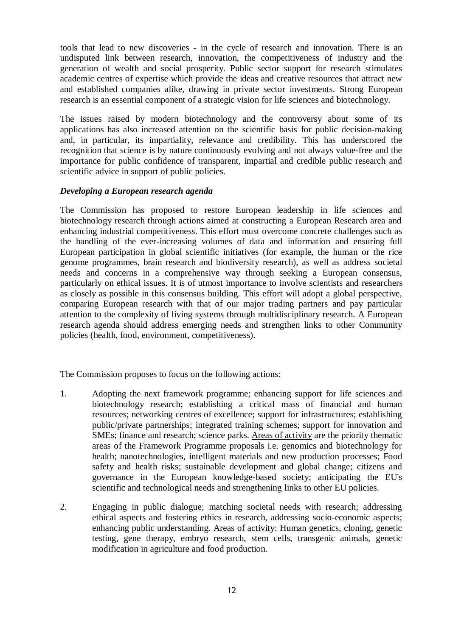tools that lead to new discoveries - in the cycle of research and innovation. There is an undisputed link between research, innovation, the competitiveness of industry and the generation of wealth and social prosperity. Public sector support for research stimulates academic centres of expertise which provide the ideas and creative resources that attract new and established companies alike, drawing in private sector investments. Strong European research is an essential component of a strategic vision for life sciences and biotechnology.

The issues raised by modern biotechnology and the controversy about some of its applications has also increased attention on the scientific basis for public decision-making and, in particular, its impartiality, relevance and credibility. This has underscored the recognition that science is by nature continuously evolving and not always value-free and the importance for public confidence of transparent, impartial and credible public research and scientific advice in support of public policies.

### *Developing a European research agenda*

The Commission has proposed to restore European leadership in life sciences and biotechnology research through actions aimed at constructing a European Research area and enhancing industrial competitiveness. This effort must overcome concrete challenges such as the handling of the ever-increasing volumes of data and information and ensuring full European participation in global scientific initiatives (for example, the human or the rice genome programmes, brain research and biodiversity research), as well as address societal needs and concerns in a comprehensive way through seeking a European consensus, particularly on ethical issues. It is of utmost importance to involve scientists and researchers as closely as possible in this consensus building. This effort will adopt a global perspective, comparing European research with that of our major trading partners and pay particular attention to the complexity of living systems through multidisciplinary research. A European research agenda should address emerging needs and strengthen links to other Community policies (health, food, environment, competitiveness).

The Commission proposes to focus on the following actions:

- 1. Adopting the next framework programme; enhancing support for life sciences and biotechnology research; establishing a critical mass of financial and human resources; networking centres of excellence; support for infrastructures; establishing public/private partnerships; integrated training schemes; support for innovation and SMEs; finance and research; science parks. Areas of activity are the priority thematic areas of the Framework Programme proposals i.e. genomics and biotechnology for health; nanotechnologies, intelligent materials and new production processes; Food safety and health risks; sustainable development and global change; citizens and governance in the European knowledge-based society; anticipating the EU's scientific and technological needs and strengthening links to other EU policies.
- 2. Engaging in public dialogue; matching societal needs with research; addressing ethical aspects and fostering ethics in research, addressing socio-economic aspects; enhancing public understanding. Areas of activity: Human genetics, cloning, genetic testing, gene therapy, embryo research, stem cells, transgenic animals, genetic modification in agriculture and food production.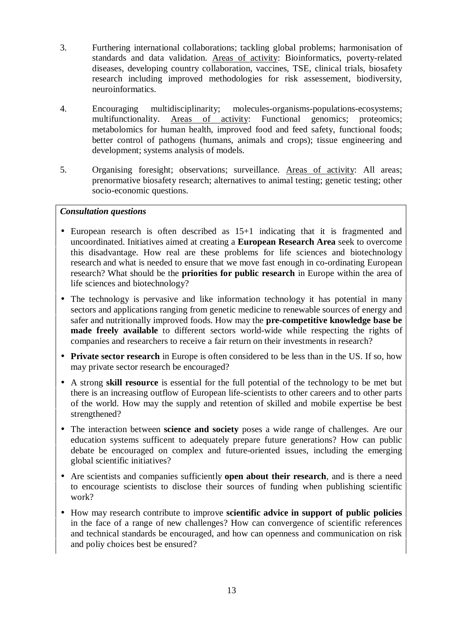- 3. Furthering international collaborations; tackling global problems; harmonisation of standards and data validation. Areas of activity: Bioinformatics, poverty-related diseases, developing country collaboration, vaccines, TSE, clinical trials, biosafety research including improved methodologies for risk assessement, biodiversity, neuroinformatics.
- 4. Encouraging multidisciplinarity; molecules-organisms-populations-ecosystems; multifunctionality. Areas of activity: Functional genomics; proteomics; metabolomics for human health, improved food and feed safety, functional foods; better control of pathogens (humans, animals and crops); tissue engineering and development; systems analysis of models.
- 5. Organising foresight; observations; surveillance. Areas of activity: All areas; prenormative biosafety research; alternatives to animal testing; genetic testing; other socio-economic questions.

### *Consultation questions*

- European research is often described as 15+1 indicating that it is fragmented and uncoordinated. Initiatives aimed at creating a **European Research Area** seek to overcome this disadvantage. How real are these problems for life sciences and biotechnology research and what is needed to ensure that we move fast enough in co-ordinating European research? What should be the **priorities for public research** in Europe within the area of life sciences and biotechnology?
- The technology is pervasive and like information technology it has potential in many sectors and applications ranging from genetic medicine to renewable sources of energy and safer and nutritionally improved foods. How may the **pre-competitive knowledge base be made freely available** to different sectors world-wide while respecting the rights of companies and researchers to receive a fair return on their investments in research?
- **Private sector research** in Europe is often considered to be less than in the US. If so, how may private sector research be encouraged?
- A strong **skill resource** is essential for the full potential of the technology to be met but there is an increasing outflow of European life-scientists to other careers and to other parts of the world. How may the supply and retention of skilled and mobile expertise be best strengthened?
- The interaction between **science and society** poses a wide range of challenges. Are our education systems sufficent to adequately prepare future generations? How can public debate be encouraged on complex and future-oriented issues, including the emerging global scientific initiatives?
- Are scientists and companies sufficiently **open about their research**, and is there a need to encourage scientists to disclose their sources of funding when publishing scientific work?
- How may research contribute to improve **scientific advice in support of public policies** in the face of a range of new challenges? How can convergence of scientific references and technical standards be encouraged, and how can openness and communication on risk and poliy choices best be ensured?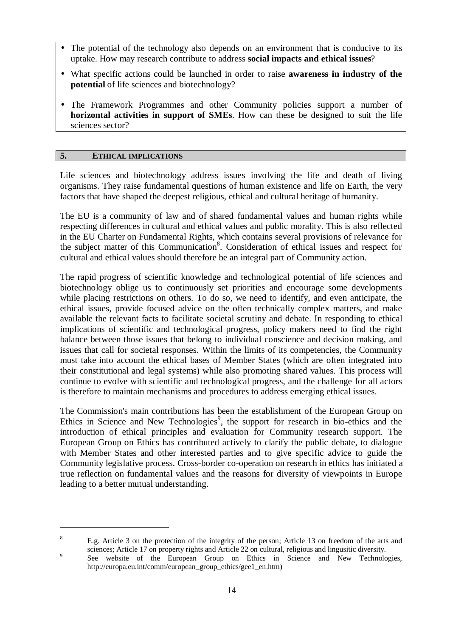- The potential of the technology also depends on an environment that is conducive to its uptake. How may research contribute to address **social impacts and ethical issues**?
- What specific actions could be launched in order to raise **awareness in industry of the potential** of life sciences and biotechnology?
- The Framework Programmes and other Community policies support a number of **horizontal activities in support of SMEs**. How can these be designed to suit the life sciences sector?

#### **5. ETHICAL IMPLICATIONS**

Life sciences and biotechnology address issues involving the life and death of living organisms. They raise fundamental questions of human existence and life on Earth, the very factors that have shaped the deepest religious, ethical and cultural heritage of humanity.

The EU is a community of law and of shared fundamental values and human rights while respecting differences in cultural and ethical values and public morality. This is also reflected in the EU Charter on Fundamental Rights, which contains several provisions of relevance for the subject matter of this Communication<sup>8</sup>. Consideration of ethical issues and respect for cultural and ethical values should therefore be an integral part of Community action.

The rapid progress of scientific knowledge and technological potential of life sciences and biotechnology oblige us to continuously set priorities and encourage some developments while placing restrictions on others. To do so, we need to identify, and even anticipate, the ethical issues, provide focused advice on the often technically complex matters, and make available the relevant facts to facilitate societal scrutiny and debate. In responding to ethical implications of scientific and technological progress, policy makers need to find the right balance between those issues that belong to individual conscience and decision making, and issues that call for societal responses. Within the limits of its competencies, the Community must take into account the ethical bases of Member States (which are often integrated into their constitutional and legal systems) while also promoting shared values. This process will continue to evolve with scientific and technological progress, and the challenge for all actors is therefore to maintain mechanisms and procedures to address emerging ethical issues.

The Commission's main contributions has been the establishment of the European Group on Ethics in Science and New Technologies<sup>9</sup>, the support for research in bio-ethics and the introduction of ethical principles and evaluation for Community research support. The European Group on Ethics has contributed actively to clarify the public debate, to dialogue with Member States and other interested parties and to give specific advice to guide the Community legislative process. Cross-border co-operation on research in ethics has initiated a true reflection on fundamental values and the reasons for diversity of viewpoints in Europe leading to a better mutual understanding.

<sup>&</sup>lt;sup>8</sup> E.g. Article 3 on the protection of the integrity of the person; Article 13 on freedom of the arts and sciences; Article 17 on property rights and Article 22 on cultural, religious and lingusitic diversity.

<sup>&</sup>lt;sup>9</sup> See website of the European Group on Ethics in Science and New Technologies, http://europa.eu.int/comm/european\_group\_ethics/gee1\_en.htm)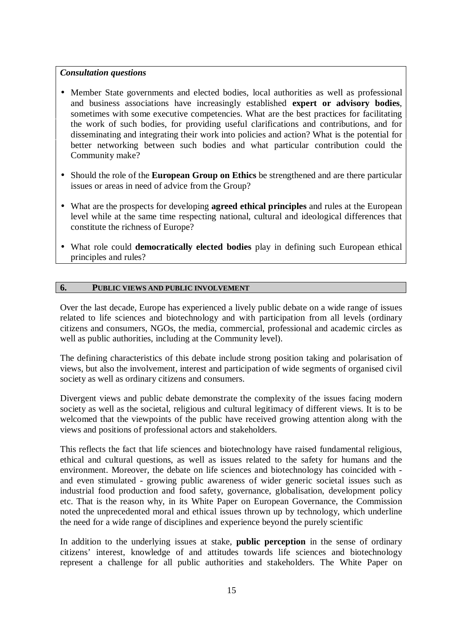#### *Consultation questions*

- Member State governments and elected bodies, local authorities as well as professional and business associations have increasingly established **expert or advisory bodies**, sometimes with some executive competencies. What are the best practices for facilitating the work of such bodies, for providing useful clarifications and contributions, and for disseminating and integrating their work into policies and action? What is the potential for better networking between such bodies and what particular contribution could the Community make?
- Should the role of the **European Group on Ethics** be strengthened and are there particular issues or areas in need of advice from the Group?
- What are the prospects for developing **agreed ethical principles** and rules at the European level while at the same time respecting national, cultural and ideological differences that constitute the richness of Europe?
- What role could **democratically elected bodies** play in defining such European ethical principles and rules?

#### **6. PUBLIC VIEWS AND PUBLIC INVOLVEMENT**

Over the last decade, Europe has experienced a lively public debate on a wide range of issues related to life sciences and biotechnology and with participation from all levels (ordinary citizens and consumers, NGOs, the media, commercial, professional and academic circles as well as public authorities, including at the Community level).

The defining characteristics of this debate include strong position taking and polarisation of views, but also the involvement, interest and participation of wide segments of organised civil society as well as ordinary citizens and consumers.

Divergent views and public debate demonstrate the complexity of the issues facing modern society as well as the societal, religious and cultural legitimacy of different views. It is to be welcomed that the viewpoints of the public have received growing attention along with the views and positions of professional actors and stakeholders.

This reflects the fact that life sciences and biotechnology have raised fundamental religious, ethical and cultural questions, as well as issues related to the safety for humans and the environment. Moreover, the debate on life sciences and biotechnology has coincided with and even stimulated - growing public awareness of wider generic societal issues such as industrial food production and food safety, governance, globalisation, development policy etc. That is the reason why, in its White Paper on European Governance, the Commission noted the unprecedented moral and ethical issues thrown up by technology, which underline the need for a wide range of disciplines and experience beyond the purely scientific

In addition to the underlying issues at stake, **public perception** in the sense of ordinary citizens' interest, knowledge of and attitudes towards life sciences and biotechnology represent a challenge for all public authorities and stakeholders. The White Paper on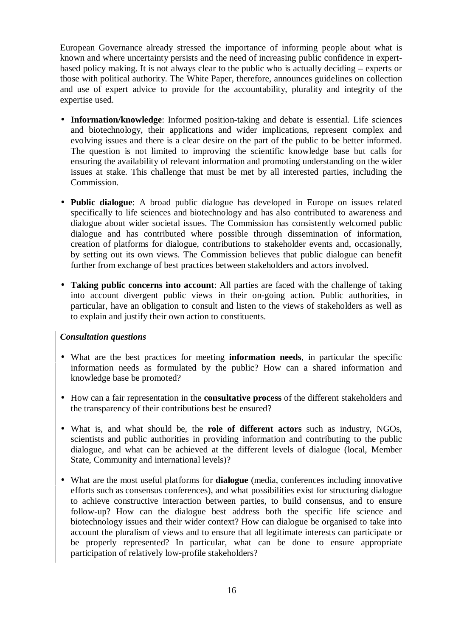European Governance already stressed the importance of informing people about what is known and where uncertainty persists and the need of increasing public confidence in expertbased policy making. It is not always clear to the public who is actually deciding – experts or those with political authority. The White Paper, therefore, announces guidelines on collection and use of expert advice to provide for the accountability, plurality and integrity of the expertise used.

- **Information/knowledge**: Informed position-taking and debate is essential. Life sciences and biotechnology, their applications and wider implications, represent complex and evolving issues and there is a clear desire on the part of the public to be better informed. The question is not limited to improving the scientific knowledge base but calls for ensuring the availability of relevant information and promoting understanding on the wider issues at stake. This challenge that must be met by all interested parties, including the Commission.
- **Public dialogue**: A broad public dialogue has developed in Europe on issues related specifically to life sciences and biotechnology and has also contributed to awareness and dialogue about wider societal issues. The Commission has consistently welcomed public dialogue and has contributed where possible through dissemination of information, creation of platforms for dialogue, contributions to stakeholder events and, occasionally, by setting out its own views. The Commission believes that public dialogue can benefit further from exchange of best practices between stakeholders and actors involved.
- **Taking public concerns into account**: All parties are faced with the challenge of taking into account divergent public views in their on-going action. Public authorities, in particular, have an obligation to consult and listen to the views of stakeholders as well as to explain and justify their own action to constituents.

#### *Consultation questions*

- What are the best practices for meeting **information needs**, in particular the specific information needs as formulated by the public? How can a shared information and knowledge base be promoted?
- How can a fair representation in the **consultative process** of the different stakeholders and the transparency of their contributions best be ensured?
- What is, and what should be, the **role of different actors** such as industry, NGOs, scientists and public authorities in providing information and contributing to the public dialogue, and what can be achieved at the different levels of dialogue (local, Member State, Community and international levels)?
- What are the most useful platforms for **dialogue** (media, conferences including innovative efforts such as consensus conferences), and what possibilities exist for structuring dialogue to achieve constructive interaction between parties, to build consensus, and to ensure follow-up? How can the dialogue best address both the specific life science and biotechnology issues and their wider context? How can dialogue be organised to take into account the pluralism of views and to ensure that all legitimate interests can participate or be properly represented? In particular, what can be done to ensure appropriate participation of relatively low-profile stakeholders?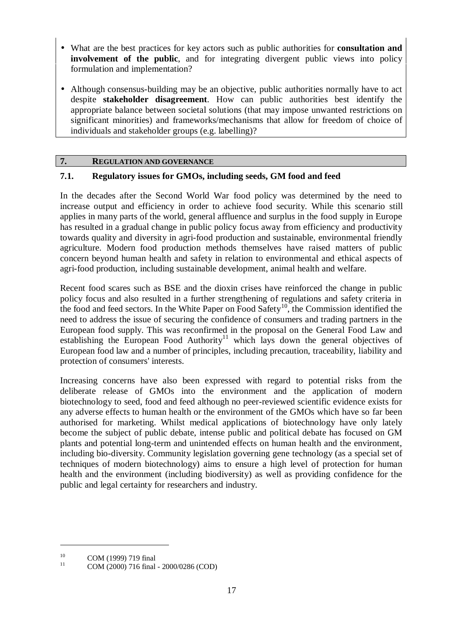- What are the best practices for key actors such as public authorities for **consultation and involvement of the public**, and for integrating divergent public views into policy formulation and implementation?
- Although consensus-building may be an objective, public authorities normally have to act despite **stakeholder disagreement**. How can public authorities best identify the appropriate balance between societal solutions (that may impose unwanted restrictions on significant minorities) and frameworks/mechanisms that allow for freedom of choice of individuals and stakeholder groups (e.g. labelling)?

### **7. REGULATION AND GOVERNANCE**

### **7.1. Regulatory issues for GMOs, including seeds, GM food and feed**

In the decades after the Second World War food policy was determined by the need to increase output and efficiency in order to achieve food security. While this scenario still applies in many parts of the world, general affluence and surplus in the food supply in Europe has resulted in a gradual change in public policy focus away from efficiency and productivity towards quality and diversity in agri-food production and sustainable, environmental friendly agriculture. Modern food production methods themselves have raised matters of public concern beyond human health and safety in relation to environmental and ethical aspects of agri-food production, including sustainable development, animal health and welfare.

Recent food scares such as BSE and the dioxin crises have reinforced the change in public policy focus and also resulted in a further strengthening of regulations and safety criteria in the food and feed sectors. In the White Paper on Food Safety<sup>10</sup>, the Commission identified the need to address the issue of securing the confidence of consumers and trading partners in the European food supply. This was reconfirmed in the proposal on the General Food Law and establishing the European Food Authority<sup>11</sup> which lays down the general objectives of European food law and a number of principles, including precaution, traceability, liability and protection of consumers' interests.

Increasing concerns have also been expressed with regard to potential risks from the deliberate release of GMOs into the environment and the application of modern biotechnology to seed, food and feed although no peer-reviewed scientific evidence exists for any adverse effects to human health or the environment of the GMOs which have so far been authorised for marketing. Whilst medical applications of biotechnology have only lately become the subject of public debate, intense public and political debate has focused on GM plants and potential long-term and unintended effects on human health and the environment, including bio-diversity. Community legislation governing gene technology (as a special set of techniques of modern biotechnology) aims to ensure a high level of protection for human health and the environment (including biodiversity) as well as providing confidence for the public and legal certainty for researchers and industry.

<sup>&</sup>lt;sup>10</sup> COM (1999) 719 final<br><sup>11</sup> COM (2000) 716 final - 2000/0286 (COD)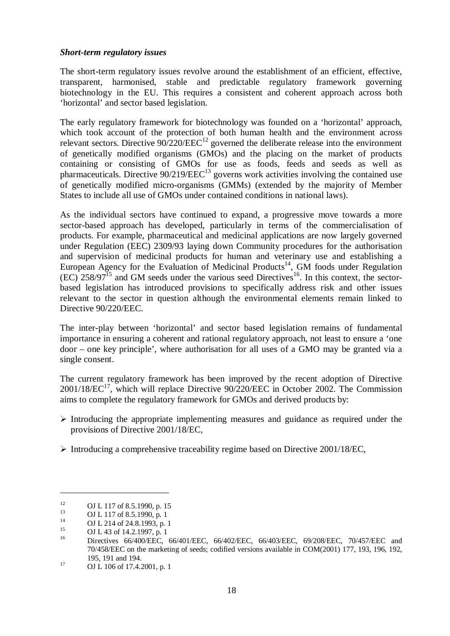#### *Short-term regulatory issues*

The short-term regulatory issues revolve around the establishment of an efficient, effective, transparent, harmonised, stable and predictable regulatory framework governing biotechnology in the EU. This requires a consistent and coherent approach across both 'horizontal' and sector based legislation.

The early regulatory framework for biotechnology was founded on a 'horizontal' approach, which took account of the protection of both human health and the environment across relevant sectors. Directive  $90/220/EEC^{12}$  governed the deliberate release into the environment of genetically modified organisms (GMOs) and the placing on the market of products containing or consisting of GMOs for use as foods, feeds and seeds as well as pharmaceuticals. Directive  $90/219/EEC^{13}$  governs work activities involving the contained use of genetically modified micro-organisms (GMMs) (extended by the majority of Member States to include all use of GMOs under contained conditions in national laws).

As the individual sectors have continued to expand, a progressive move towards a more sector-based approach has developed, particularly in terms of the commercialisation of products. For example, pharmaceutical and medicinal applications are now largely governed under Regulation (EEC) 2309/93 laying down Community procedures for the authorisation and supervision of medicinal products for human and veterinary use and establishing a European Agency for the Evaluation of Medicinal Products<sup>14</sup>, GM foods under Regulation  $(EC)$  258/97<sup>15</sup> and GM seeds under the various seed Directives<sup>16</sup>. In this context, the sectorbased legislation has introduced provisions to specifically address risk and other issues relevant to the sector in question although the environmental elements remain linked to Directive 90/220/EEC.

The inter-play between 'horizontal' and sector based legislation remains of fundamental importance in ensuring a coherent and rational regulatory approach, not least to ensure a 'one door – one key principle', where authorisation for all uses of a GMO may be granted via a single consent.

The current regulatory framework has been improved by the recent adoption of Directive  $2001/18/EC^{17}$ , which will replace Directive 90/220/EEC in October 2002. The Commission aims to complete the regulatory framework for GMOs and derived products by:

- $\triangleright$  Introducing the appropriate implementing measures and guidance as required under the provisions of Directive 2001/18/EC,
- $\triangleright$  Introducing a comprehensive traceability regime based on Directive 2001/18/EC,

<sup>12</sup> OJ L 117 of 8.5.1990, p. 15<br>
13 OJ L 117 of 8.5.1990, p. 1<br>
14 OJ L 214 of 24.8.1993, p. 1<br>
15 OJ L 43 of 14.2.1997, p. 1<br>
16 Directives 66/400/EEC, 66/401/EEC, 66/402/EEC, 66/403/EEC, 69/208/EEC, 70/457/EEC and 70/458/EEC on the marketing of seeds; codified versions available in COM(2001) 177, 193, 196, 192,

 $17 \hspace{1.5cm} \text{OJ L} 106 \text{ of } 17.4.2001, \text{ p. } 1$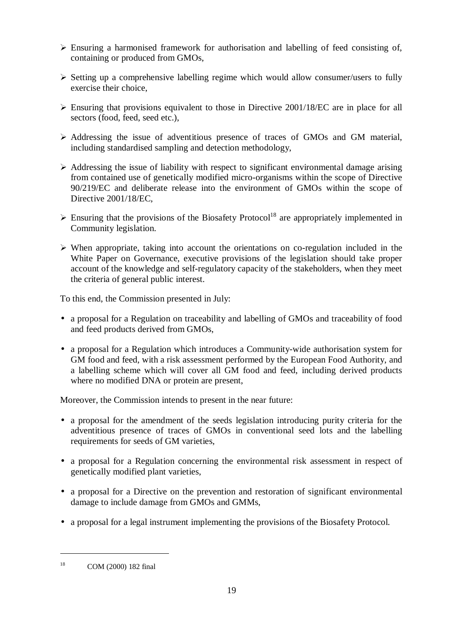- $\triangleright$  Ensuring a harmonised framework for authorisation and labelling of feed consisting of, containing or produced from GMOs,
- $\triangleright$  Setting up a comprehensive labelling regime which would allow consumer/users to fully exercise their choice,
- Ensuring that provisions equivalent to those in Directive 2001/18/EC are in place for all sectors (food, feed, seed etc.),
- Addressing the issue of adventitious presence of traces of GMOs and GM material, including standardised sampling and detection methodology,
- $\triangleright$  Addressing the issue of liability with respect to significant environmental damage arising from contained use of genetically modified micro-organisms within the scope of Directive 90/219/EC and deliberate release into the environment of GMOs within the scope of Directive 2001/18/EC,
- $\triangleright$  Ensuring that the provisions of the Biosafety Protocol<sup>18</sup> are appropriately implemented in Community legislation.
- $\triangleright$  When appropriate, taking into account the orientations on co-regulation included in the White Paper on Governance, executive provisions of the legislation should take proper account of the knowledge and self-regulatory capacity of the stakeholders, when they meet the criteria of general public interest.

To this end, the Commission presented in July:

- a proposal for a Regulation on traceability and labelling of GMOs and traceability of food and feed products derived from GMOs,
- a proposal for a Regulation which introduces a Community-wide authorisation system for GM food and feed, with a risk assessment performed by the European Food Authority, and a labelling scheme which will cover all GM food and feed, including derived products where no modified DNA or protein are present,

Moreover, the Commission intends to present in the near future:

- a proposal for the amendment of the seeds legislation introducing purity criteria for the adventitious presence of traces of GMOs in conventional seed lots and the labelling requirements for seeds of GM varieties,
- a proposal for a Regulation concerning the environmental risk assessment in respect of genetically modified plant varieties,
- a proposal for a Directive on the prevention and restoration of significant environmental damage to include damage from GMOs and GMMs,
- a proposal for a legal instrument implementing the provisions of the Biosafety Protocol.

<sup>18</sup> COM (2000) 182 final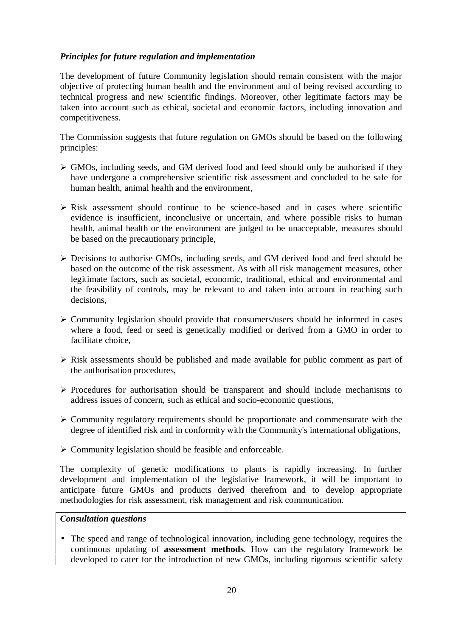### *Principles for future regulation and implementation*

The development of future Community legislation should remain consistent with the major objective of protecting human health and the environment and of being revised according to technical progress and new scientific findings. Moreover, other legitimate factors may be taken into account such as ethical, societal and economic factors, including innovation and competitiveness.

The Commission suggests that future regulation on GMOs should be based on the following principles:

- GMOs, including seeds, and GM derived food and feed should only be authorised if they have undergone a comprehensive scientific risk assessment and concluded to be safe for human health, animal health and the environment,
- $\triangleright$  Risk assessment should continue to be science-based and in cases where scientific evidence is insufficient, inconclusive or uncertain, and where possible risks to human health, animal health or the environment are judged to be unacceptable, measures should be based on the precautionary principle,
- Decisions to authorise GMOs, including seeds, and GM derived food and feed should be based on the outcome of the risk assessment. As with all risk management measures, other legitimate factors, such as societal, economic, traditional, ethical and environmental and the feasibility of controls, may be relevant to and taken into account in reaching such decisions,
- $\triangleright$  Community legislation should provide that consumers/users should be informed in cases where a food, feed or seed is genetically modified or derived from a GMO in order to facilitate choice,
- $\triangleright$  Risk assessments should be published and made available for public comment as part of the authorisation procedures,
- $\triangleright$  Procedures for authorisation should be transparent and should include mechanisms to address issues of concern, such as ethical and socio-economic questions,
- $\triangleright$  Community regulatory requirements should be proportionate and commensurate with the degree of identified risk and in conformity with the Community's international obligations,
- $\triangleright$  Community legislation should be feasible and enforceable.

The complexity of genetic modifications to plants is rapidly increasing. In further development and implementation of the legislative framework, it will be important to anticipate future GMOs and products derived therefrom and to develop appropriate methodologies for risk assessment, risk management and risk communication.

#### *Consultation questions*

• The speed and range of technological innovation, including gene technology, requires the continuous updating of **assessment methods**. How can the regulatory framework be developed to cater for the introduction of new GMOs, including rigorous scientific safety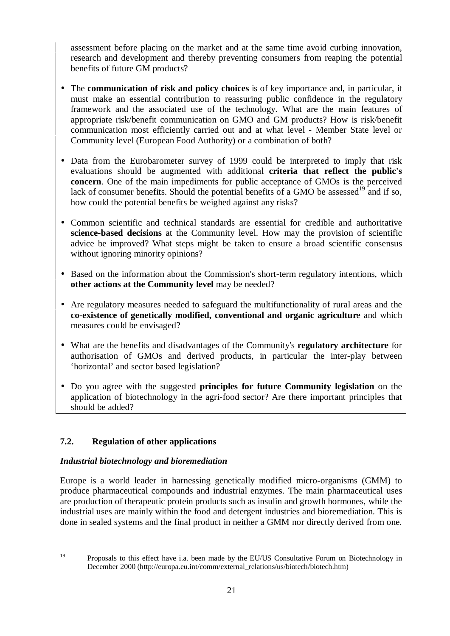assessment before placing on the market and at the same time avoid curbing innovation, research and development and thereby preventing consumers from reaping the potential benefits of future GM products?

- The **communication of risk and policy choices** is of key importance and, in particular, it must make an essential contribution to reassuring public confidence in the regulatory framework and the associated use of the technology. What are the main features of appropriate risk/benefit communication on GMO and GM products? How is risk/benefit communication most efficiently carried out and at what level - Member State level or Community level (European Food Authority) or a combination of both?
- Data from the Eurobarometer survey of 1999 could be interpreted to imply that risk evaluations should be augmented with additional **criteria that reflect the public's concern**. One of the main impediments for public acceptance of GMOs is the perceived lack of consumer benefits. Should the potential benefits of a GMO be assessed<sup>19</sup> and if so, how could the potential benefits be weighed against any risks?
- Common scientific and technical standards are essential for credible and authoritative **science-based decisions** at the Community level. How may the provision of scientific advice be improved? What steps might be taken to ensure a broad scientific consensus without ignoring minority opinions?
- Based on the information about the Commission's short-term regulatory intentions, which **other actions at the Community level** may be needed?
- Are regulatory measures needed to safeguard the multifunctionality of rural areas and the **co-existence of genetically modified, conventional and organic agricultur**e and which measures could be envisaged?
- What are the benefits and disadvantages of the Community's **regulatory architecture** for authorisation of GMOs and derived products, in particular the inter-play between 'horizontal' and sector based legislation?
- Do you agree with the suggested **principles for future Community legislation** on the application of biotechnology in the agri-food sector? Are there important principles that should be added?

# **7.2. Regulation of other applications**

### *Industrial biotechnology and bioremediation*

Europe is a world leader in harnessing genetically modified micro-organisms (GMM) to produce pharmaceutical compounds and industrial enzymes. The main pharmaceutical uses are production of therapeutic protein products such as insulin and growth hormones, while the industrial uses are mainly within the food and detergent industries and bioremediation. This is done in sealed systems and the final product in neither a GMM nor directly derived from one.

<sup>&</sup>lt;sup>19</sup> Proposals to this effect have i.a. been made by the EU/US Consultative Forum on Biotechnology in December 2000 (http://europa.eu.int/comm/external\_relations/us/biotech/biotech.htm)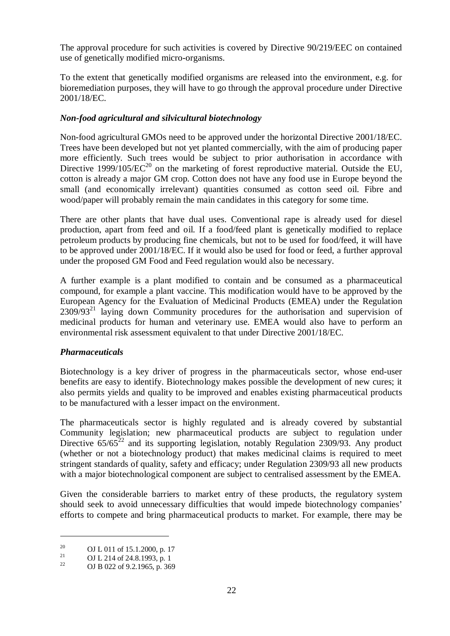The approval procedure for such activities is covered by Directive 90/219/EEC on contained use of genetically modified micro-organisms.

To the extent that genetically modified organisms are released into the environment, e.g. for bioremediation purposes, they will have to go through the approval procedure under Directive 2001/18/EC.

### *Non-food agricultural and silvicultural biotechnology*

Non-food agricultural GMOs need to be approved under the horizontal Directive 2001/18/EC. Trees have been developed but not yet planted commercially, with the aim of producing paper more efficiently. Such trees would be subject to prior authorisation in accordance with Directive 1999/105/ $\text{EC}^{20}$  on the marketing of forest reproductive material. Outside the EU, cotton is already a major GM crop. Cotton does not have any food use in Europe beyond the small (and economically irrelevant) quantities consumed as cotton seed oil. Fibre and wood/paper will probably remain the main candidates in this category for some time.

There are other plants that have dual uses. Conventional rape is already used for diesel production, apart from feed and oil. If a food/feed plant is genetically modified to replace petroleum products by producing fine chemicals, but not to be used for food/feed, it will have to be approved under 2001/18/EC. If it would also be used for food or feed, a further approval under the proposed GM Food and Feed regulation would also be necessary.

A further example is a plant modified to contain and be consumed as a pharmaceutical compound, for example a plant vaccine. This modification would have to be approved by the European Agency for the Evaluation of Medicinal Products (EMEA) under the Regulation  $2309/93<sup>21</sup>$  laying down Community procedures for the authorisation and supervision of medicinal products for human and veterinary use. EMEA would also have to perform an environmental risk assessment equivalent to that under Directive 2001/18/EC.

### *Pharmaceuticals*

Biotechnology is a key driver of progress in the pharmaceuticals sector, whose end-user benefits are easy to identify. Biotechnology makes possible the development of new cures; it also permits yields and quality to be improved and enables existing pharmaceutical products to be manufactured with a lesser impact on the environment.

The pharmaceuticals sector is highly regulated and is already covered by substantial Community legislation; new pharmaceutical products are subject to regulation under Directive  $65/65^{22}$  and its supporting legislation, notably Regulation 2309/93. Any product (whether or not a biotechnology product) that makes medicinal claims is required to meet stringent standards of quality, safety and efficacy; under Regulation 2309/93 all new products with a major biotechnological component are subject to centralised assessment by the EMEA.

Given the considerable barriers to market entry of these products, the regulatory system should seek to avoid unnecessary difficulties that would impede biotechnology companies' efforts to compete and bring pharmaceutical products to market. For example, there may be

<sup>20</sup> **OJ L 011 of 15.1.2000, p. 17**<br> **OJ L 214 of 24.8.1993, p. 1**<br> **OJ B 022 of 9.2.1965, p. 369**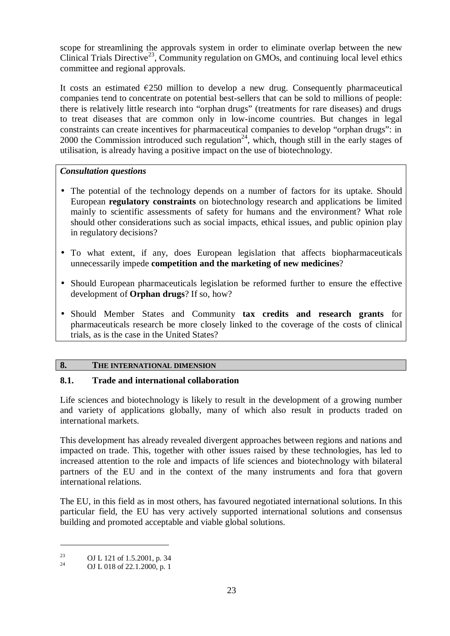scope for streamlining the approvals system in order to eliminate overlap between the new Clinical Trials Directive<sup>23</sup>, Community regulation on GMOs, and continuing local level ethics committee and regional approvals.

It costs an estimated  $\epsilon$ 250 million to develop a new drug. Consequently pharmaceutical companies tend to concentrate on potential best-sellers that can be sold to millions of people: there is relatively little research into "orphan drugs" (treatments for rare diseases) and drugs to treat diseases that are common only in low-income countries. But changes in legal constraints can create incentives for pharmaceutical companies to develop "orphan drugs": in 2000 the Commission introduced such regulation<sup>24</sup>, which, though still in the early stages of utilisation, is already having a positive impact on the use of biotechnology.

### *Consultation questions*

- The potential of the technology depends on a number of factors for its uptake. Should European **regulatory constraints** on biotechnology research and applications be limited mainly to scientific assessments of safety for humans and the environment? What role should other considerations such as social impacts, ethical issues, and public opinion play in regulatory decisions?
- To what extent, if any, does European legislation that affects biopharmaceuticals unnecessarily impede **competition and the marketing of new medicines**?
- Should European pharmaceuticals legislation be reformed further to ensure the effective development of **Orphan drugs**? If so, how?
- Should Member States and Community **tax credits and research grants** for pharmaceuticals research be more closely linked to the coverage of the costs of clinical trials, as is the case in the United States?

### **8. THE INTERNATIONAL DIMENSION**

# **8.1. Trade and international collaboration**

Life sciences and biotechnology is likely to result in the development of a growing number and variety of applications globally, many of which also result in products traded on international markets.

This development has already revealed divergent approaches between regions and nations and impacted on trade. This, together with other issues raised by these technologies, has led to increased attention to the role and impacts of life sciences and biotechnology with bilateral partners of the EU and in the context of the many instruments and fora that govern international relations.

The EU, in this field as in most others, has favoured negotiated international solutions. In this particular field, the EU has very actively supported international solutions and consensus building and promoted acceptable and viable global solutions.

<sup>&</sup>lt;sup>23</sup> **OJ L 121 of 1.5.2001, p. 34**<br>**OJ L 018 of 22.1.2000, p. 1**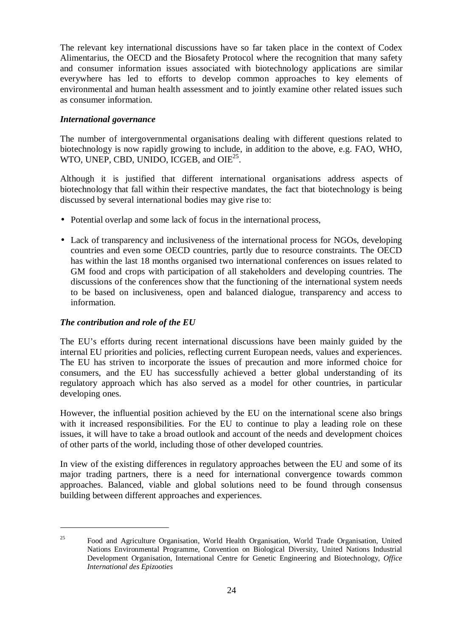The relevant key international discussions have so far taken place in the context of Codex Alimentarius, the OECD and the Biosafety Protocol where the recognition that many safety and consumer information issues associated with biotechnology applications are similar everywhere has led to efforts to develop common approaches to key elements of environmental and human health assessment and to jointly examine other related issues such as consumer information.

### *International governance*

The number of intergovernmental organisations dealing with different questions related to biotechnology is now rapidly growing to include, in addition to the above, e.g. FAO, WHO, WTO, UNEP, CBD, UNIDO, ICGEB, and OIE<sup>25</sup>.

Although it is justified that different international organisations address aspects of biotechnology that fall within their respective mandates, the fact that biotechnology is being discussed by several international bodies may give rise to:

- Potential overlap and some lack of focus in the international process,
- Lack of transparency and inclusiveness of the international process for NGOs, developing countries and even some OECD countries, partly due to resource constraints. The OECD has within the last 18 months organised two international conferences on issues related to GM food and crops with participation of all stakeholders and developing countries. The discussions of the conferences show that the functioning of the international system needs to be based on inclusiveness, open and balanced dialogue, transparency and access to information.

### *The contribution and role of the EU*

The EU's efforts during recent international discussions have been mainly guided by the internal EU priorities and policies, reflecting current European needs, values and experiences. The EU has striven to incorporate the issues of precaution and more informed choice for consumers, and the EU has successfully achieved a better global understanding of its regulatory approach which has also served as a model for other countries, in particular developing ones.

However, the influential position achieved by the EU on the international scene also brings with it increased responsibilities. For the EU to continue to play a leading role on these issues, it will have to take a broad outlook and account of the needs and development choices of other parts of the world, including those of other developed countries.

In view of the existing differences in regulatory approaches between the EU and some of its major trading partners, there is a need for international convergence towards common approaches. Balanced, viable and global solutions need to be found through consensus building between different approaches and experiences.

<sup>&</sup>lt;sup>25</sup> Food and Agriculture Organisation, World Health Organisation, World Trade Organisation, United Nations Environmental Programme, Convention on Biological Diversity, United Nations Industrial Development Organisation, International Centre for Genetic Engineering and Biotechnology, *Office International des Epizooties*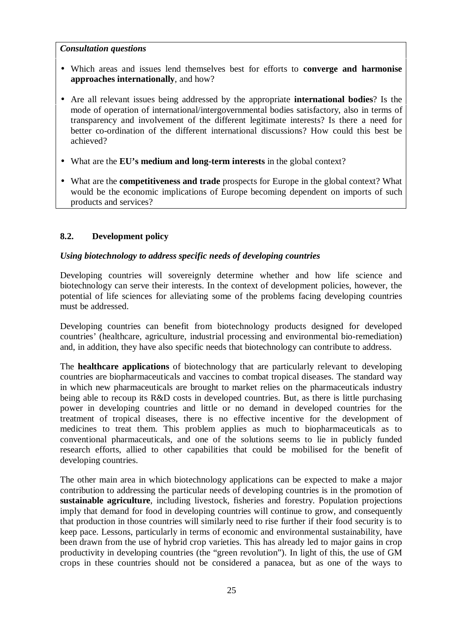#### *Consultation questions*

- Which areas and issues lend themselves best for efforts to **converge and harmonise approaches internationally**, and how?
- Are all relevant issues being addressed by the appropriate **international bodies**? Is the mode of operation of international/intergovernmental bodies satisfactory, also in terms of transparency and involvement of the different legitimate interests? Is there a need for better co-ordination of the different international discussions? How could this best be achieved?
- What are the **EU's medium and long-term interests** in the global context?
- What are the **competitiveness and trade** prospects for Europe in the global context? What would be the economic implications of Europe becoming dependent on imports of such products and services?

# **8.2. Development policy**

## *Using biotechnology to address specific needs of developing countries*

Developing countries will sovereignly determine whether and how life science and biotechnology can serve their interests. In the context of development policies, however, the potential of life sciences for alleviating some of the problems facing developing countries must be addressed.

Developing countries can benefit from biotechnology products designed for developed countries' (healthcare, agriculture, industrial processing and environmental bio-remediation) and, in addition, they have also specific needs that biotechnology can contribute to address.

The **healthcare applications** of biotechnology that are particularly relevant to developing countries are biopharmaceuticals and vaccines to combat tropical diseases. The standard way in which new pharmaceuticals are brought to market relies on the pharmaceuticals industry being able to recoup its R&D costs in developed countries. But, as there is little purchasing power in developing countries and little or no demand in developed countries for the treatment of tropical diseases, there is no effective incentive for the development of medicines to treat them. This problem applies as much to biopharmaceuticals as to conventional pharmaceuticals, and one of the solutions seems to lie in publicly funded research efforts, allied to other capabilities that could be mobilised for the benefit of developing countries.

The other main area in which biotechnology applications can be expected to make a major contribution to addressing the particular needs of developing countries is in the promotion of **sustainable agriculture**, including livestock, fisheries and forestry. Population projections imply that demand for food in developing countries will continue to grow, and consequently that production in those countries will similarly need to rise further if their food security is to keep pace. Lessons, particularly in terms of economic and environmental sustainability, have been drawn from the use of hybrid crop varieties. This has already led to major gains in crop productivity in developing countries (the "green revolution"). In light of this, the use of GM crops in these countries should not be considered a panacea, but as one of the ways to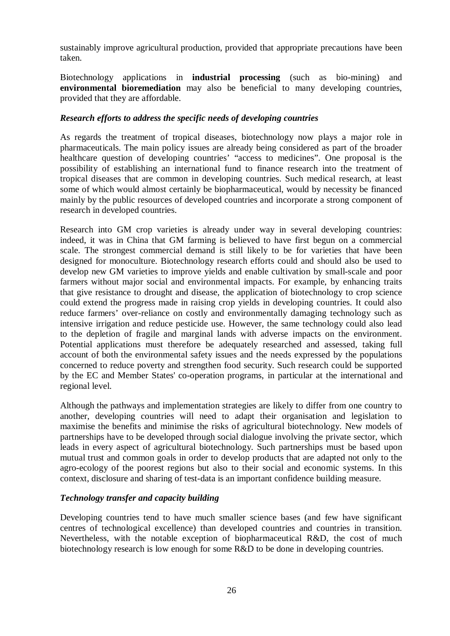sustainably improve agricultural production, provided that appropriate precautions have been taken.

Biotechnology applications in **industrial processing** (such as bio-mining) and **environmental bioremediation** may also be beneficial to many developing countries, provided that they are affordable.

### *Research efforts to address the specific needs of developing countries*

As regards the treatment of tropical diseases, biotechnology now plays a major role in pharmaceuticals. The main policy issues are already being considered as part of the broader healthcare question of developing countries' "access to medicines". One proposal is the possibility of establishing an international fund to finance research into the treatment of tropical diseases that are common in developing countries. Such medical research, at least some of which would almost certainly be biopharmaceutical, would by necessity be financed mainly by the public resources of developed countries and incorporate a strong component of research in developed countries.

Research into GM crop varieties is already under way in several developing countries: indeed, it was in China that GM farming is believed to have first begun on a commercial scale. The strongest commercial demand is still likely to be for varieties that have been designed for monoculture. Biotechnology research efforts could and should also be used to develop new GM varieties to improve yields and enable cultivation by small-scale and poor farmers without major social and environmental impacts. For example, by enhancing traits that give resistance to drought and disease, the application of biotechnology to crop science could extend the progress made in raising crop yields in developing countries. It could also reduce farmers' over-reliance on costly and environmentally damaging technology such as intensive irrigation and reduce pesticide use. However, the same technology could also lead to the depletion of fragile and marginal lands with adverse impacts on the environment. Potential applications must therefore be adequately researched and assessed, taking full account of both the environmental safety issues and the needs expressed by the populations concerned to reduce poverty and strengthen food security. Such research could be supported by the EC and Member States' co-operation programs, in particular at the international and regional level.

Although the pathways and implementation strategies are likely to differ from one country to another, developing countries will need to adapt their organisation and legislation to maximise the benefits and minimise the risks of agricultural biotechnology. New models of partnerships have to be developed through social dialogue involving the private sector, which leads in every aspect of agricultural biotechnology. Such partnerships must be based upon mutual trust and common goals in order to develop products that are adapted not only to the agro-ecology of the poorest regions but also to their social and economic systems. In this context, disclosure and sharing of test-data is an important confidence building measure.

#### *Technology transfer and capacity building*

Developing countries tend to have much smaller science bases (and few have significant centres of technological excellence) than developed countries and countries in transition. Nevertheless, with the notable exception of biopharmaceutical R&D, the cost of much biotechnology research is low enough for some R&D to be done in developing countries.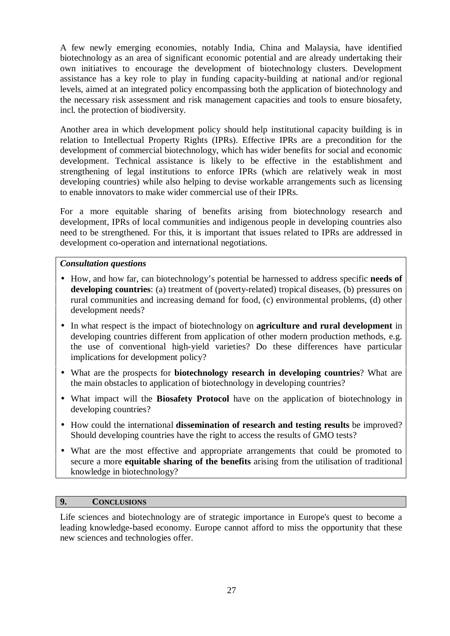A few newly emerging economies, notably India, China and Malaysia, have identified biotechnology as an area of significant economic potential and are already undertaking their own initiatives to encourage the development of biotechnology clusters. Development assistance has a key role to play in funding capacity-building at national and/or regional levels, aimed at an integrated policy encompassing both the application of biotechnology and the necessary risk assessment and risk management capacities and tools to ensure biosafety, incl. the protection of biodiversity.

Another area in which development policy should help institutional capacity building is in relation to Intellectual Property Rights (IPRs). Effective IPRs are a precondition for the development of commercial biotechnology, which has wider benefits for social and economic development. Technical assistance is likely to be effective in the establishment and strengthening of legal institutions to enforce IPRs (which are relatively weak in most developing countries) while also helping to devise workable arrangements such as licensing to enable innovators to make wider commercial use of their IPRs.

For a more equitable sharing of benefits arising from biotechnology research and development, IPRs of local communities and indigenous people in developing countries also need to be strengthened. For this, it is important that issues related to IPRs are addressed in development co-operation and international negotiations.

#### *Consultation questions*

- How, and how far, can biotechnology's potential be harnessed to address specific **needs of developing countries**: (a) treatment of (poverty-related) tropical diseases, (b) pressures on rural communities and increasing demand for food, (c) environmental problems, (d) other development needs?
- In what respect is the impact of biotechnology on **agriculture and rural development** in developing countries different from application of other modern production methods, e.g. the use of conventional high-yield varieties? Do these differences have particular implications for development policy?
- What are the prospects for **biotechnology research in developing countries**? What are the main obstacles to application of biotechnology in developing countries?
- What impact will the **Biosafety Protocol** have on the application of biotechnology in developing countries?
- How could the international **dissemination of research and testing results** be improved? Should developing countries have the right to access the results of GMO tests?
- What are the most effective and appropriate arrangements that could be promoted to secure a more **equitable sharing of the benefits** arising from the utilisation of traditional knowledge in biotechnology?

#### **9. CONCLUSIONS**

Life sciences and biotechnology are of strategic importance in Europe's quest to become a leading knowledge-based economy. Europe cannot afford to miss the opportunity that these new sciences and technologies offer.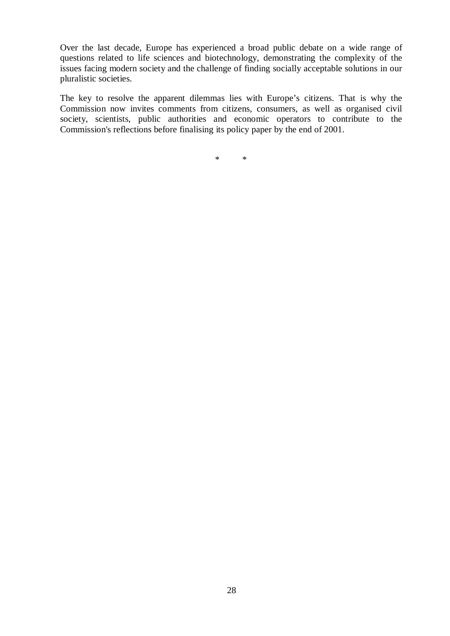Over the last decade, Europe has experienced a broad public debate on a wide range of questions related to life sciences and biotechnology, demonstrating the complexity of the issues facing modern society and the challenge of finding socially acceptable solutions in our pluralistic societies.

The key to resolve the apparent dilemmas lies with Europe's citizens. That is why the Commission now invites comments from citizens, consumers, as well as organised civil society, scientists, public authorities and economic operators to contribute to the Commission's reflections before finalising its policy paper by the end of 2001.

\* \*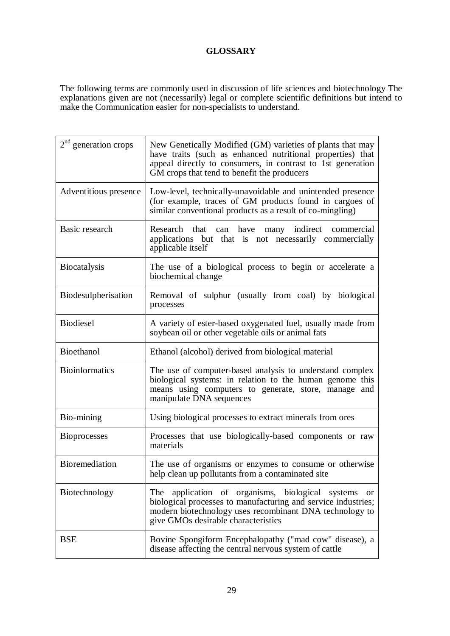### **GLOSSARY**

The following terms are commonly used in discussion of life sciences and biotechnology The explanations given are not (necessarily) legal or complete scientific definitions but intend to make the Communication easier for non-specialists to understand.

| $2nd$ generation crops | New Genetically Modified (GM) varieties of plants that may<br>have traits (such as enhanced nutritional properties) that<br>appeal directly to consumers, in contrast to 1st generation<br>GM crops that tend to benefit the producers |
|------------------------|----------------------------------------------------------------------------------------------------------------------------------------------------------------------------------------------------------------------------------------|
| Adventitious presence  | Low-level, technically-unavoidable and unintended presence<br>(for example, traces of GM products found in cargoes of<br>similar conventional products as a result of co-mingling)                                                     |
| Basic research         | many indirect commercial<br>Research that can have<br>applications but that is not necessarily commercially<br>applicable itself                                                                                                       |
| <b>Biocatalysis</b>    | The use of a biological process to begin or accelerate a<br>biochemical change                                                                                                                                                         |
| Biodesulpherisation    | Removal of sulphur (usually from coal) by biological<br>processes                                                                                                                                                                      |
| <b>Biodiesel</b>       | A variety of ester-based oxygenated fuel, usually made from<br>soybean oil or other vegetable oils or animal fats                                                                                                                      |
| Bioethanol             | Ethanol (alcohol) derived from biological material                                                                                                                                                                                     |
| <b>Bioinformatics</b>  | The use of computer-based analysis to understand complex<br>biological systems: in relation to the human genome this<br>means using computers to generate, store, manage and<br>manipulate DNA sequences                               |
| Bio-mining             | Using biological processes to extract minerals from ores                                                                                                                                                                               |
| <b>Bioprocesses</b>    | Processes that use biologically-based components or raw<br>materials                                                                                                                                                                   |
| <b>Bioremediation</b>  | The use of organisms or enzymes to consume or otherwise<br>help clean up pollutants from a contaminated site                                                                                                                           |
| Biotechnology          | application of organisms, biological systems<br>The<br>or<br>biological processes to manufacturing and service industries;<br>modern biotechnology uses recombinant DNA technology to<br>give GMOs desirable characteristics           |
| <b>BSE</b>             | Bovine Spongiform Encephalopathy ("mad cow" disease), a<br>disease affecting the central nervous system of cattle                                                                                                                      |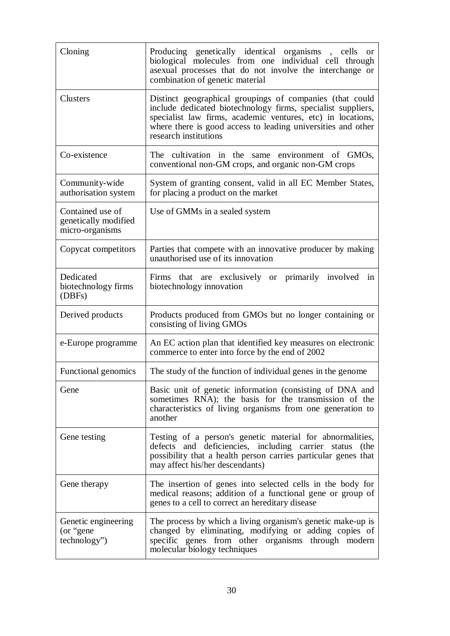| Cloning                                                     | Producing genetically identical organisms, cells or<br>biological molecules from one individual cell through<br>asexual processes that do not involve the interchange or<br>combination of genetic material                                                                      |
|-------------------------------------------------------------|----------------------------------------------------------------------------------------------------------------------------------------------------------------------------------------------------------------------------------------------------------------------------------|
| <b>Clusters</b>                                             | Distinct geographical groupings of companies (that could<br>include dedicated biotechnology firms, specialist suppliers,<br>specialist law firms, academic ventures, etc) in locations,<br>where there is good access to leading universities and other<br>research institutions |
| Co-existence                                                | The cultivation in the same environment of GMOs,<br>conventional non-GM crops, and organic non-GM crops                                                                                                                                                                          |
| Community-wide<br>authorisation system                      | System of granting consent, valid in all EC Member States,<br>for placing a product on the market                                                                                                                                                                                |
| Contained use of<br>genetically modified<br>micro-organisms | Use of GMMs in a sealed system                                                                                                                                                                                                                                                   |
| Copycat competitors                                         | Parties that compete with an innovative producer by making<br>unauthorised use of its innovation                                                                                                                                                                                 |
| Dedicated<br>biotechnology firms<br>(DBFs)                  | Firms that are exclusively or primarily involved in<br>biotechnology innovation                                                                                                                                                                                                  |
| Derived products                                            | Products produced from GMOs but no longer containing or<br>consisting of living GMOs                                                                                                                                                                                             |
| e-Europe programme                                          | An EC action plan that identified key measures on electronic<br>commerce to enter into force by the end of 2002                                                                                                                                                                  |
| Functional genomics                                         | The study of the function of individual genes in the genome                                                                                                                                                                                                                      |
| Gene                                                        | Basic unit of genetic information (consisting of DNA and<br>sometimes RNA); the basis for the transmission of the<br>characteristics of living organisms from one generation to<br>another                                                                                       |
| Gene testing                                                | Testing of a person's genetic material for abnormalities,<br>defects and deficiencies, including carrier status<br>(the<br>possibility that a health person carries particular genes that<br>may affect his/her descendants)                                                     |
| Gene therapy                                                | The insertion of genes into selected cells in the body for<br>medical reasons; addition of a functional gene or group of<br>genes to a cell to correct an hereditary disease                                                                                                     |
| Genetic engineering<br>(or "gene"<br>technology")           | The process by which a living organism's genetic make-up is<br>changed by eliminating, modifying or adding copies of<br>specific genes from other organisms through modern<br>molecular biology techniques                                                                       |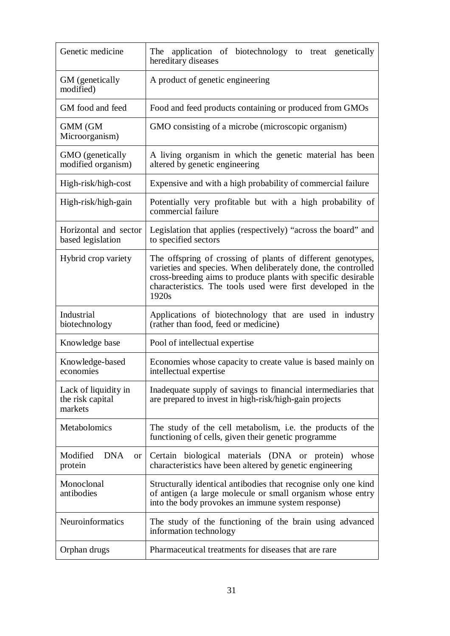| Genetic medicine                                    | application of biotechnology to treat genetically<br>The<br>hereditary diseases                                                                                                                                                                                       |
|-----------------------------------------------------|-----------------------------------------------------------------------------------------------------------------------------------------------------------------------------------------------------------------------------------------------------------------------|
| GM (genetically<br>modified)                        | A product of genetic engineering                                                                                                                                                                                                                                      |
| GM food and feed                                    | Food and feed products containing or produced from GMOs                                                                                                                                                                                                               |
| <b>GMM</b> (GM<br>Microorganism)                    | GMO consisting of a microbe (microscopic organism)                                                                                                                                                                                                                    |
| GMO (genetically<br>modified organism)              | A living organism in which the genetic material has been<br>altered by genetic engineering                                                                                                                                                                            |
| High-risk/high-cost                                 | Expensive and with a high probability of commercial failure                                                                                                                                                                                                           |
| High-risk/high-gain                                 | Potentially very profitable but with a high probability of<br>commercial failure                                                                                                                                                                                      |
| Horizontal and sector<br>based legislation          | Legislation that applies (respectively) "across the board" and<br>to specified sectors                                                                                                                                                                                |
| Hybrid crop variety                                 | The offspring of crossing of plants of different genotypes,<br>varieties and species. When deliberately done, the controlled<br>cross-breeding aims to produce plants with specific desirable<br>characteristics. The tools used were first developed in the<br>1920s |
| Industrial<br>biotechnology                         | Applications of biotechnology that are used in industry<br>(rather than food, feed or medicine)                                                                                                                                                                       |
| Knowledge base                                      | Pool of intellectual expertise                                                                                                                                                                                                                                        |
| Knowledge-based<br>economies                        | Economies whose capacity to create value is based mainly on<br>intellectual expertise                                                                                                                                                                                 |
| Lack of liquidity in<br>the risk capital<br>markets | Inadequate supply of savings to financial intermediaries that<br>are prepared to invest in high-risk/high-gain projects                                                                                                                                               |
| Metabolomics                                        | The study of the cell metabolism, i.e. the products of the<br>functioning of cells, given their genetic programme                                                                                                                                                     |
| Modified<br><b>DNA</b><br>or 1<br>protein           | Certain biological materials (DNA or protein) whose<br>characteristics have been altered by genetic engineering                                                                                                                                                       |
| Monoclonal<br>antibodies                            | Structurally identical antibodies that recognise only one kind<br>of antigen (a large molecule or small organism whose entry<br>into the body provokes an immune system response)                                                                                     |
| Neuroinformatics                                    | The study of the functioning of the brain using advanced<br>information technology                                                                                                                                                                                    |
| Orphan drugs                                        | Pharmaceutical treatments for diseases that are rare                                                                                                                                                                                                                  |